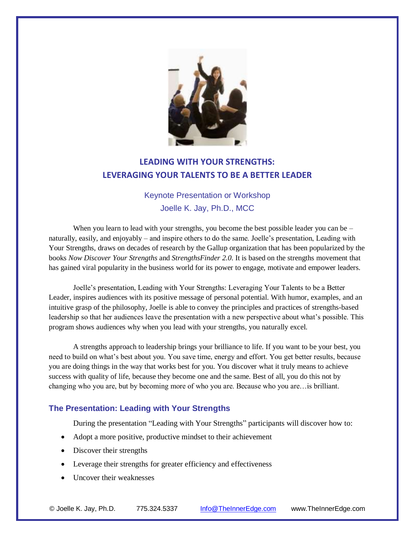

# **LEADING WITH YOUR STRENGTHS: LEVERAGING YOUR TALENTS TO BE A BETTER LEADER**

## Keynote Presentation or Workshop Joelle K. Jay, Ph.D., MCC

When you learn to lead with your strengths, you become the best possible leader you can be  $$ naturally, easily, and enjoyably – and inspire others to do the same. Joelle's presentation, Leading with Your Strengths, draws on decades of research by the Gallup organization that has been popularized by the books *Now Discover Your Strengths* and *StrengthsFinder 2.0*. It is based on the strengths movement that has gained viral popularity in the business world for its power to engage, motivate and empower leaders.

Joelle's presentation, Leading with Your Strengths: Leveraging Your Talents to be a Better Leader, inspires audiences with its positive message of personal potential. With humor, examples, and an intuitive grasp of the philosophy, Joelle is able to convey the principles and practices of strengths-based leadership so that her audiences leave the presentation with a new perspective about what's possible. This program shows audiences why when you lead with your strengths, you naturally excel.

A strengths approach to leadership brings your brilliance to life. If you want to be your best, you need to build on what's best about you. You save time, energy and effort. You get better results, because you are doing things in the way that works best for you. You discover what it truly means to achieve success with quality of life, because they become one and the same. Best of all, you do this not by changing who you are, but by becoming more of who you are. Because who you are…is brilliant.

### **The Presentation: Leading with Your Strengths**

During the presentation "Leading with Your Strengths" participants will discover how to:

- Adopt a more positive, productive mindset to their achievement
- Discover their strengths
- Leverage their strengths for greater efficiency and effectiveness
- Uncover their weaknesses